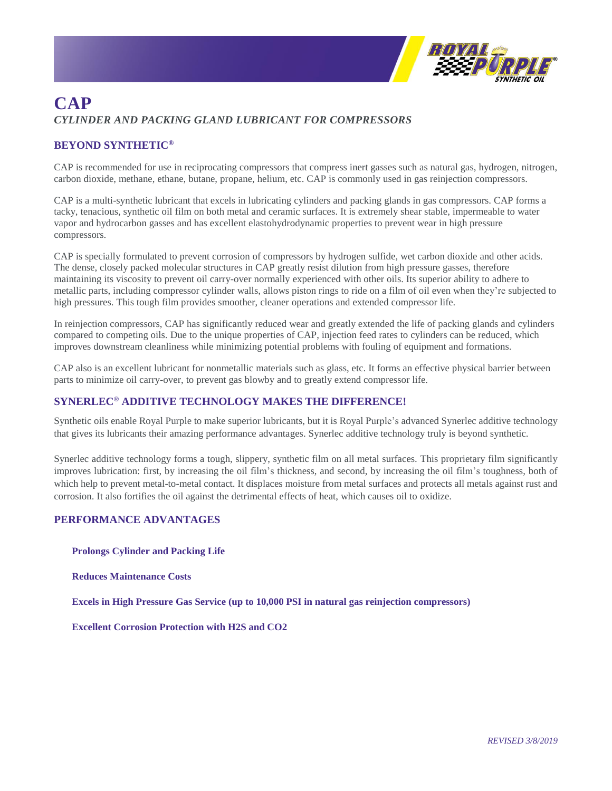

## **CAP** *CYLINDER AND PACKING GLAND LUBRICANT FOR COMPRESSORS*

## **BEYOND SYNTHETIC®**

CAP is recommended for use in reciprocating compressors that compress inert gasses such as natural gas, hydrogen, nitrogen, carbon dioxide, methane, ethane, butane, propane, helium, etc. CAP is commonly used in gas reinjection compressors.

CAP is a multi-synthetic lubricant that excels in lubricating cylinders and packing glands in gas compressors. CAP forms a tacky, tenacious, synthetic oil film on both metal and ceramic surfaces. It is extremely shear stable, impermeable to water vapor and hydrocarbon gasses and has excellent elastohydrodynamic properties to prevent wear in high pressure compressors.

CAP is specially formulated to prevent corrosion of compressors by hydrogen sulfide, wet carbon dioxide and other acids. The dense, closely packed molecular structures in CAP greatly resist dilution from high pressure gasses, therefore maintaining its viscosity to prevent oil carry-over normally experienced with other oils. Its superior ability to adhere to metallic parts, including compressor cylinder walls, allows piston rings to ride on a film of oil even when they're subjected to high pressures. This tough film provides smoother, cleaner operations and extended compressor life.

In reinjection compressors, CAP has significantly reduced wear and greatly extended the life of packing glands and cylinders compared to competing oils. Due to the unique properties of CAP, injection feed rates to cylinders can be reduced, which improves downstream cleanliness while minimizing potential problems with fouling of equipment and formations.

CAP also is an excellent lubricant for nonmetallic materials such as glass, etc. It forms an effective physical barrier between parts to minimize oil carry-over, to prevent gas blowby and to greatly extend compressor life.

## **SYNERLEC® ADDITIVE TECHNOLOGY MAKES THE DIFFERENCE!**

Synthetic oils enable Royal Purple to make superior lubricants, but it is Royal Purple's advanced Synerlec additive technology that gives its lubricants their amazing performance advantages. Synerlec additive technology truly is beyond synthetic.

Synerlec additive technology forms a tough, slippery, synthetic film on all metal surfaces. This proprietary film significantly improves lubrication: first, by increasing the oil film's thickness, and second, by increasing the oil film's toughness, both of which help to prevent metal-to-metal contact. It displaces moisture from metal surfaces and protects all metals against rust and corrosion. It also fortifies the oil against the detrimental effects of heat, which causes oil to oxidize.

## **PERFORMANCE ADVANTAGES**

**Prolongs Cylinder and Packing Life**

**Reduces Maintenance Costs**

**Excels in High Pressure Gas Service (up to 10,000 PSI in natural gas reinjection compressors)**

**Excellent Corrosion Protection with H2S and CO2**